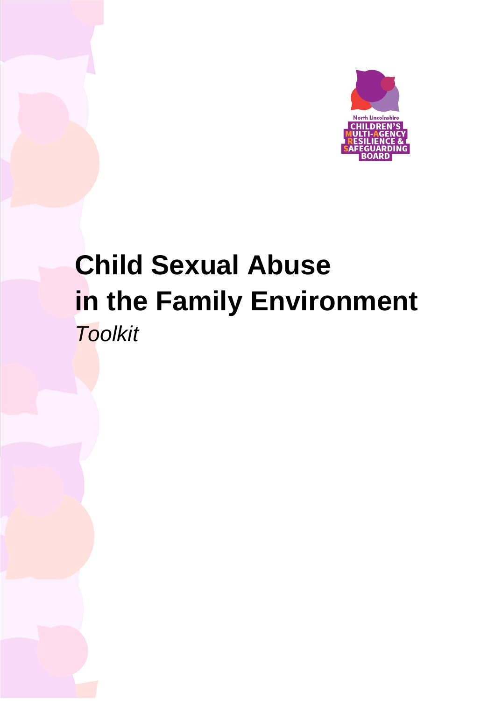

# **Child Sexual Abuse** in the Family Environment **Toolkit**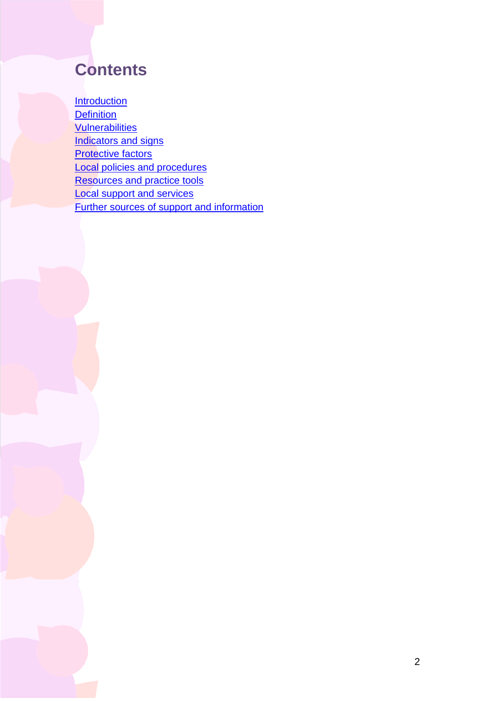## **Contents**

**[Introduction](#page-2-0) [Definition](#page-5-0) [Vulnerabilities](#page-7-0)** [Indicators and signs](#page-10-0) **[Protective factors](#page-13-0)** [Local policies and procedures](#page-14-0) [Resources and practice tools](#page-14-1) [Local support and services](#page-20-0) [Further sources of support and information](#page-21-0)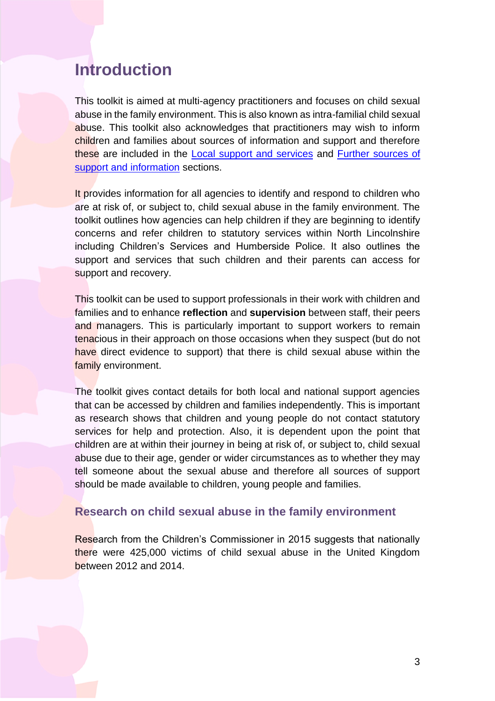## <span id="page-2-0"></span>**Introduction**

This toolkit is aimed at multi-agency practitioners and focuses on child sexual abuse in the family environment. This is also known as intra-familial child sexual abuse. This toolkit also acknowledges that practitioners may wish to inform children and families about sources of information and support and therefore these are included in the [Local support and services](#page-20-0) and [Further sources of](#page-21-0)  [support and information](#page-21-0) sections.

It provides information for all agencies to identify and respond to children who are at risk of, or subject to, child sexual abuse in the family environment. The toolkit outlines how agencies can help children if they are beginning to identify concerns and refer children to statutory services within North Lincolnshire including Children's Services and Humberside Police. It also outlines the support and services that such children and their parents can access for support and recovery.

This toolkit can be used to support professionals in their work with children and families and to enhance **reflection** and **supervision** between staff, their peers and managers. This is particularly important to support workers to remain tenacious in their approach on those occasions when they suspect (but do not have direct evidence to support) that there is child sexual abuse within the family environment.

The toolkit gives contact details for both local and national support agencies that can be accessed by children and families independently. This is important as research shows that children and young people do not contact statutory services for help and protection. Also, it is dependent upon the point that children are at within their journey in being at risk of, or subject to, child sexual abuse due to their age, gender or wider circumstances as to whether they may tell someone about the sexual abuse and therefore all sources of support should be made available to children, young people and families.

## **Research on child sexual abuse in the family environment**

Research from the Children's Commissioner in 2015 suggests that nationally there were 425,000 victims of child sexual abuse in the United Kingdom between 2012 and 2014.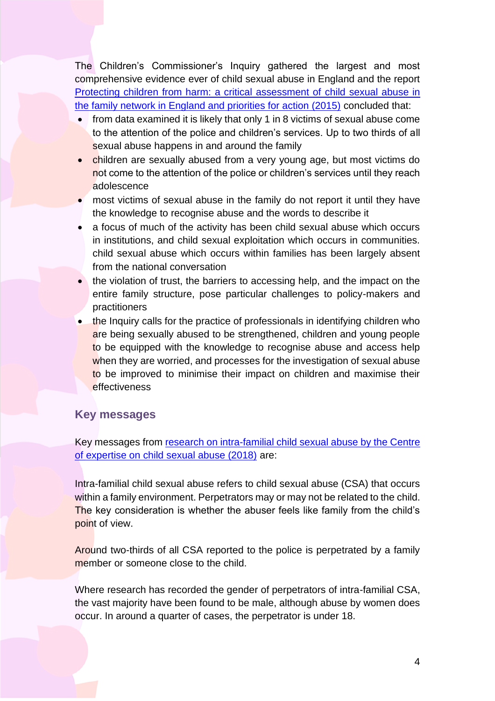The Children's Commissioner's Inquiry gathered the largest and most comprehensive evidence ever of child sexual abuse in England and the report [Protecting children from harm: a critical assessment of child sexual abuse in](https://www.childrenscommissioner.gov.uk/wp-content/uploads/2017/06/Protecting-children-from-harm-executive-summary_0.pdf)  [the family network in England and priorities for action \(2015\)](https://www.childrenscommissioner.gov.uk/wp-content/uploads/2017/06/Protecting-children-from-harm-executive-summary_0.pdf) concluded that:

- from data examined it is likely that only 1 in 8 victims of sexual abuse come to the attention of the police and children's services. Up to two thirds of all sexual abuse happens in and around the family
- children are sexually abused from a very young age, but most victims do not come to the attention of the police or children's services until they reach adolescence
- most victims of sexual abuse in the family do not report it until they have the knowledge to recognise abuse and the words to describe it
- a focus of much of the activity has been child sexual abuse which occurs in institutions, and child sexual exploitation which occurs in communities. child sexual abuse which occurs within families has been largely absent from the national conversation
- the violation of trust, the barriers to accessing help, and the impact on the entire family structure, pose particular challenges to policy-makers and practitioners
- the Inquiry calls for the practice of professionals in identifying children who are being sexually abused to be strengthened, children and young people to be equipped with the knowledge to recognise abuse and access help when they are worried, and processes for the investigation of sexual abuse to be improved to minimise their impact on children and maximise their effectiveness

## **Key messages**

Key messages from research [on intra-familial child sexual abuse by the Centre](https://www.csacentre.org.uk/resources/key-messages/intra-familial-csa/)  [of expertise on child sexual abuse \(2018\)](https://www.csacentre.org.uk/resources/key-messages/intra-familial-csa/) are:

Intra-familial child sexual abuse refers to child sexual abuse (CSA) that occurs within a family environment. Perpetrators may or may not be related to the child. The key consideration is whether the abuser feels like family from the child's point of view.

Around two-thirds of all CSA reported to the police is perpetrated by a family member or someone close to the child.

Where research has recorded the gender of perpetrators of intra-familial CSA, the vast majority have been found to be male, although abuse by women does occur. In around a quarter of cases, the perpetrator is under 18.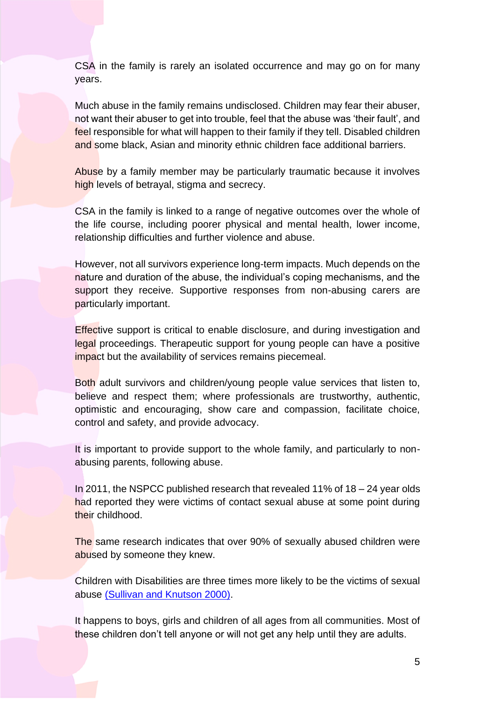CSA in the family is rarely an isolated occurrence and may go on for many years.

Much abuse in the family remains undisclosed. Children may fear their abuser, not want their abuser to get into trouble, feel that the abuse was 'their fault', and feel responsible for what will happen to their family if they tell. Disabled children and some black, Asian and minority ethnic children face additional barriers.

Abuse by a family member may be particularly traumatic because it involves high levels of betrayal, stigma and secrecy.

CSA in the family is linked to a range of negative outcomes over the whole of the life course, including poorer physical and mental health, lower income, relationship difficulties and further violence and abuse.

However, not all survivors experience long-term impacts. Much depends on the nature and duration of the abuse, the individual's coping mechanisms, and the support they receive. Supportive responses from non-abusing carers are particularly important.

**Effective support is critical to enable disclosure, and during investigation and** legal proceedings. Therapeutic support for young people can have a positive impact but the availability of services remains piecemeal.

Both adult survivors and children/young people value services that listen to, believe and respect them; where professionals are trustworthy, authentic, optimistic and encouraging, show care and compassion, facilitate choice, control and safety, and provide advocacy.

It is important to provide support to the whole family, and particularly to nonabusing parents, following abuse.

In 2011, the NSPCC published research that revealed 11% of 18 – 24 year olds had reported they were victims of contact sexual abuse at some point during their childhood.

The same research indicates that over 90% of sexually abused children were abused by someone they knew.

Children with Disabilities are three times more likely to be the victims of sexual abuse [\(Sullivan and Knutson 2000\).](https://pubmed.ncbi.nlm.nih.gov/11075694/)

It happens to boys, girls and children of all ages from all communities. Most of these children don't tell anyone or will not get any help until they are adults.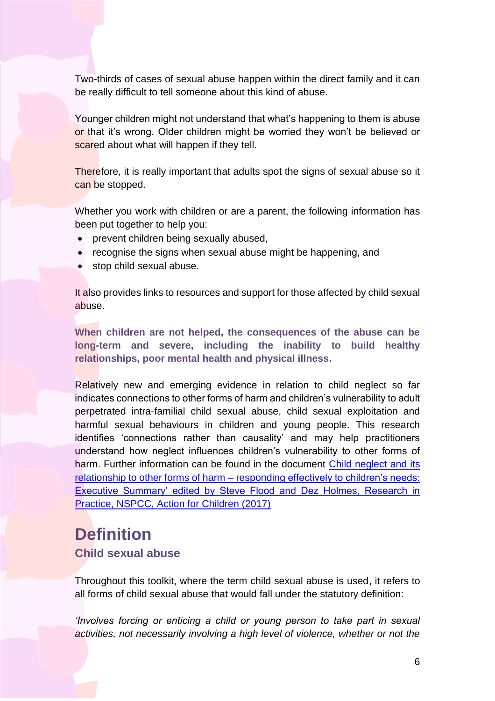Two-thirds of cases of sexual abuse happen within the direct family and it can be really difficult to tell someone about this kind of abuse.

Younger children might not understand that what's happening to them is abuse or that it's wrong. Older children might be worried they won't be believed or scared about what will happen if they tell.

Therefore, it is really important that adults spot the signs of sexual abuse so it can be stopped.

Whether you work with children or are a parent, the following information has been put together to help you:

- prevent children being sexually abused,
- recognise the signs when sexual abuse might be happening, and
- stop child sexual abuse.

It also provides links to resources and support for those affected by child sexual abuse.

**When children are not helped, the consequences of the abuse can be long-term and severe, including the inability to build healthy relationships, poor mental health and physical illness.**

Relatively new and emerging evidence in relation to child neglect so far indicates connections to other forms of harm and children's vulnerability to adult perpetrated intra-familial child sexual abuse, child sexual exploitation and harmful sexual behaviours in children and young people. This research identifies 'connections rather than causality' and may help practitioners understand how neglect influences children's vulnerability to other forms of harm. Further information can be found in the document [Child neglect and its](https://tce.researchinpractice.org.uk/wp-content/uploads/2020/02/Child-neglect-and-its-relationship-to-sexual-harm-and-abuse-responding-effectively-to-children_s-needs-1.pdf)  relationship to other forms of harm – [responding effectively to children's needs:](https://tce.researchinpractice.org.uk/wp-content/uploads/2020/02/Child-neglect-and-its-relationship-to-sexual-harm-and-abuse-responding-effectively-to-children_s-needs-1.pdf)  [Executive Summary' edited by Steve Flood and Dez Holmes, Research in](https://tce.researchinpractice.org.uk/wp-content/uploads/2020/02/Child-neglect-and-its-relationship-to-sexual-harm-and-abuse-responding-effectively-to-children_s-needs-1.pdf)  [Practice, NSPCC, Action for Children \(2017\)](https://tce.researchinpractice.org.uk/wp-content/uploads/2020/02/Child-neglect-and-its-relationship-to-sexual-harm-and-abuse-responding-effectively-to-children_s-needs-1.pdf)

## <span id="page-5-0"></span>**Definition**

## **Child sexual abuse**

Throughout this toolkit, where the term child sexual abuse is used, it refers to all forms of child sexual abuse that would fall under the statutory definition:

*'Involves forcing or enticing a child or young person to take part in sexual activities, not necessarily involving a high level of violence, whether or not the*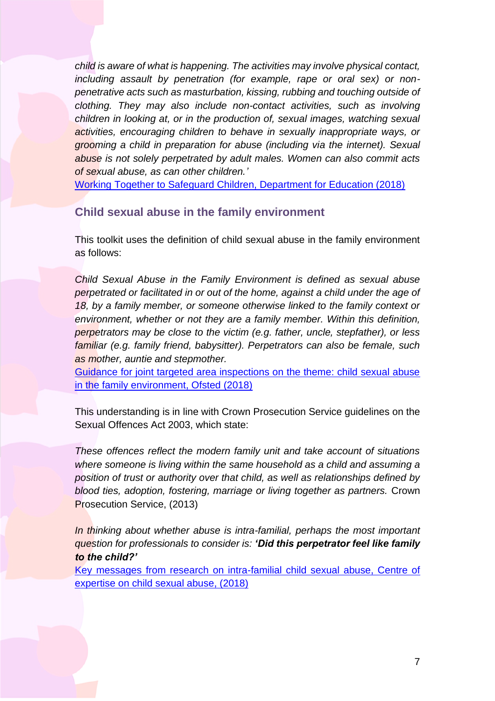*child is aware of what is happening. The activities may involve physical contact, including assault by penetration (for example, rape or oral sex) or nonpenetrative acts such as masturbation, kissing, rubbing and touching outside of clothing. They may also include non-contact activities, such as involving children in looking at, or in the production of, sexual images, watching sexual activities, encouraging children to behave in sexually inappropriate ways, or grooming a child in preparation for abuse (including via the internet). Sexual abuse is not solely perpetrated by adult males. Women can also commit acts of sexual abuse, as can other children.'*

[Working Together to Safeguard Children, Department for Education \(2018\)](https://www.gov.uk/government/publications/working-together-to-safeguard-children--2)

## **Child sexual abuse in the family environment**

This toolkit uses the definition of child sexual abuse in the family environment as follows:

*Child Sexual Abuse in the Family Environment is defined as sexual abuse perpetrated or facilitated in or out of the home, against a child under the age of 18, by a family member, or someone otherwise linked to the family context or environment, whether or not they are a family member. Within this definition, perpetrators may be close to the victim (e.g. father, uncle, stepfather), or less familiar (e.g. family friend, babysitter). Perpetrators can also be female, such as mother, auntie and stepmother.*

[Guidance for joint targeted area inspections on the theme: child sexual abuse](https://assets.publishing.service.gov.uk/government/uploads/system/uploads/attachment_data/file/936258/Joint_targeted_area_inspection_child_sexual_abuse_in_family_environment_081018_a.pdf)  [in the family environment, Ofsted \(2018\)](https://assets.publishing.service.gov.uk/government/uploads/system/uploads/attachment_data/file/936258/Joint_targeted_area_inspection_child_sexual_abuse_in_family_environment_081018_a.pdf)

This understanding is in line with Crown Prosecution Service guidelines on the Sexual Offences Act 2003, which state:

*These offences reflect the modern family unit and take account of situations where someone is living within the same household as a child and assuming a position of trust or authority over that child, as well as relationships defined by blood ties, adoption, fostering, marriage or living together as partners.* Crown Prosecution Service, (2013)

*In thinking about whether abuse is intra-familial, perhaps the most important question for professionals to consider is: 'Did this perpetrator feel like family to the child?'*

[Key messages from research on intra-familial child sexual abuse, Centre of](https://www.csacentre.org.uk/resources/key-messages/intra-familial-csa/)  [expertise on child sexual abuse, \(2018\)](https://www.csacentre.org.uk/resources/key-messages/intra-familial-csa/)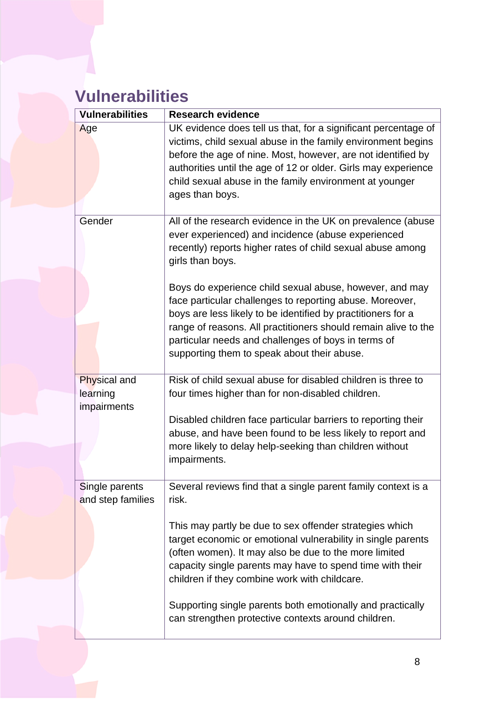## <span id="page-7-0"></span>**Vulnerabilities**

| <b>Vulnerabilities</b>                         | <b>Research evidence</b>                                                                                                                                                                                                                                                                                                                                    |
|------------------------------------------------|-------------------------------------------------------------------------------------------------------------------------------------------------------------------------------------------------------------------------------------------------------------------------------------------------------------------------------------------------------------|
| Age                                            | UK evidence does tell us that, for a significant percentage of<br>victims, child sexual abuse in the family environment begins<br>before the age of nine. Most, however, are not identified by<br>authorities until the age of 12 or older. Girls may experience<br>child sexual abuse in the family environment at younger<br>ages than boys.              |
| Gender                                         | All of the research evidence in the UK on prevalence (abuse<br>ever experienced) and incidence (abuse experienced<br>recently) reports higher rates of child sexual abuse among<br>girls than boys.                                                                                                                                                         |
|                                                | Boys do experience child sexual abuse, however, and may<br>face particular challenges to reporting abuse. Moreover,<br>boys are less likely to be identified by practitioners for a<br>range of reasons. All practitioners should remain alive to the<br>particular needs and challenges of boys in terms of<br>supporting them to speak about their abuse. |
| <b>Physical and</b><br>learning<br>impairments | Risk of child sexual abuse for disabled children is three to<br>four times higher than for non-disabled children.                                                                                                                                                                                                                                           |
|                                                | Disabled children face particular barriers to reporting their<br>abuse, and have been found to be less likely to report and<br>more likely to delay help-seeking than children without<br>impairments.                                                                                                                                                      |
| Single parents<br>and step families            | Several reviews find that a single parent family context is a<br>risk.                                                                                                                                                                                                                                                                                      |
|                                                | This may partly be due to sex offender strategies which<br>target economic or emotional vulnerability in single parents<br>(often women). It may also be due to the more limited<br>capacity single parents may have to spend time with their<br>children if they combine work with childcare.                                                              |
|                                                | Supporting single parents both emotionally and practically<br>can strengthen protective contexts around children.                                                                                                                                                                                                                                           |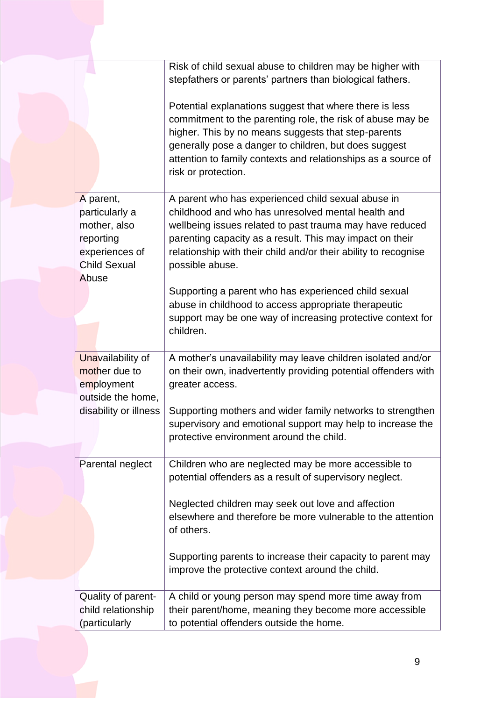|                       | Risk of child sexual abuse to children may be higher with       |
|-----------------------|-----------------------------------------------------------------|
|                       | stepfathers or parents' partners than biological fathers.       |
|                       |                                                                 |
|                       | Potential explanations suggest that where there is less         |
|                       | commitment to the parenting role, the risk of abuse may be      |
|                       | higher. This by no means suggests that step-parents             |
|                       | generally pose a danger to children, but does suggest           |
|                       | attention to family contexts and relationships as a source of   |
|                       | risk or protection.                                             |
|                       |                                                                 |
| A parent,             | A parent who has experienced child sexual abuse in              |
| particularly a        | childhood and who has unresolved mental health and              |
| mother, also          | wellbeing issues related to past trauma may have reduced        |
| reporting             | parenting capacity as a result. This may impact on their        |
| experiences of        | relationship with their child and/or their ability to recognise |
| <b>Child Sexual</b>   |                                                                 |
| Abuse                 | possible abuse.                                                 |
|                       |                                                                 |
|                       | Supporting a parent who has experienced child sexual            |
|                       | abuse in childhood to access appropriate therapeutic            |
|                       | support may be one way of increasing protective context for     |
|                       | children.                                                       |
| Unavailability of     | A mother's unavailability may leave children isolated and/or    |
| mother due to         | on their own, inadvertently providing potential offenders with  |
| employment            | greater access.                                                 |
| outside the home,     |                                                                 |
| disability or illness | Supporting mothers and wider family networks to strengthen      |
|                       | supervisory and emotional support may help to increase the      |
|                       | protective environment around the child.                        |
|                       |                                                                 |
| Parental neglect      | Children who are neglected may be more accessible to            |
|                       | potential offenders as a result of supervisory neglect.         |
|                       |                                                                 |
|                       | Neglected children may seek out love and affection              |
|                       | elsewhere and therefore be more vulnerable to the attention     |
|                       | of others.                                                      |
|                       |                                                                 |
|                       | Supporting parents to increase their capacity to parent may     |
|                       | improve the protective context around the child.                |
|                       |                                                                 |
| Quality of parent-    | A child or young person may spend more time away from           |
| child relationship    | their parent/home, meaning they become more accessible          |
| (particularly         |                                                                 |
|                       | to potential offenders outside the home.                        |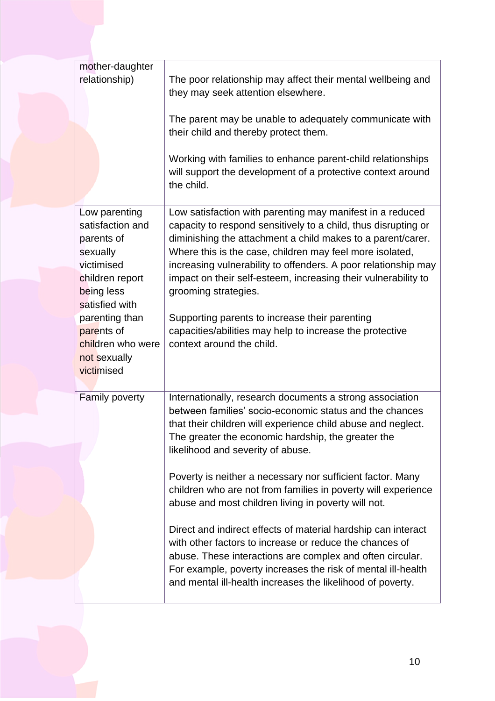| mother-daughter<br>relationship)                                                                                                                                                                                | The poor relationship may affect their mental wellbeing and<br>they may seek attention elsewhere.<br>The parent may be unable to adequately communicate with<br>their child and thereby protect them.<br>Working with families to enhance parent-child relationships<br>will support the development of a protective context around<br>the child.                                                                                                                                                                                                                                                                                                                                                                                                                                           |
|-----------------------------------------------------------------------------------------------------------------------------------------------------------------------------------------------------------------|---------------------------------------------------------------------------------------------------------------------------------------------------------------------------------------------------------------------------------------------------------------------------------------------------------------------------------------------------------------------------------------------------------------------------------------------------------------------------------------------------------------------------------------------------------------------------------------------------------------------------------------------------------------------------------------------------------------------------------------------------------------------------------------------|
| Low parenting<br>satisfaction and<br>parents of<br>sexually<br>victimised<br>children report<br>being less<br>satisfied with<br>parenting than<br>parents of<br>children who were<br>not sexually<br>victimised | Low satisfaction with parenting may manifest in a reduced<br>capacity to respond sensitively to a child, thus disrupting or<br>diminishing the attachment a child makes to a parent/carer.<br>Where this is the case, children may feel more isolated,<br>increasing vulnerability to offenders. A poor relationship may<br>impact on their self-esteem, increasing their vulnerability to<br>grooming strategies.<br>Supporting parents to increase their parenting<br>capacities/abilities may help to increase the protective<br>context around the child.                                                                                                                                                                                                                               |
| Family poverty                                                                                                                                                                                                  | Internationally, research documents a strong association<br>between families' socio-economic status and the chances<br>that their children will experience child abuse and neglect.<br>The greater the economic hardship, the greater the<br>likelihood and severity of abuse.<br>Poverty is neither a necessary nor sufficient factor. Many<br>children who are not from families in poverty will experience<br>abuse and most children living in poverty will not.<br>Direct and indirect effects of material hardship can interact<br>with other factors to increase or reduce the chances of<br>abuse. These interactions are complex and often circular.<br>For example, poverty increases the risk of mental ill-health<br>and mental ill-health increases the likelihood of poverty. |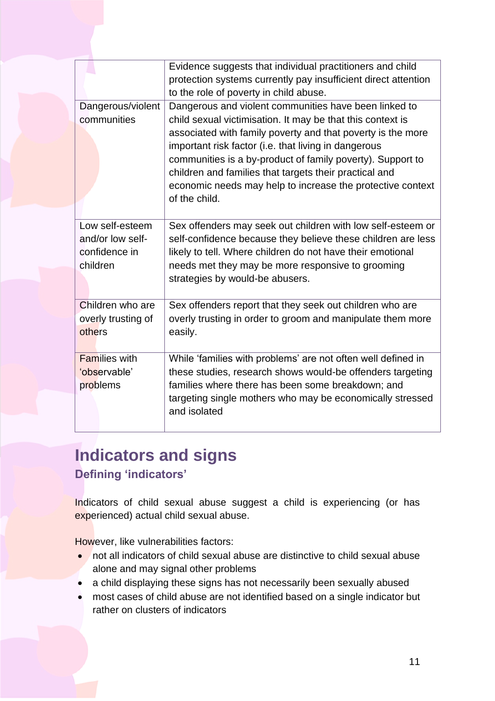|                                                                  | Evidence suggests that individual practitioners and child<br>protection systems currently pay insufficient direct attention<br>to the role of poverty in child abuse.                                                                                                                                                                                                                                                                             |
|------------------------------------------------------------------|---------------------------------------------------------------------------------------------------------------------------------------------------------------------------------------------------------------------------------------------------------------------------------------------------------------------------------------------------------------------------------------------------------------------------------------------------|
| Dangerous/violent<br>communities                                 | Dangerous and violent communities have been linked to<br>child sexual victimisation. It may be that this context is<br>associated with family poverty and that poverty is the more<br>important risk factor (i.e. that living in dangerous<br>communities is a by-product of family poverty). Support to<br>children and families that targets their practical and<br>economic needs may help to increase the protective context<br>of the child. |
| Low self-esteem<br>and/or low self-<br>confidence in<br>children | Sex offenders may seek out children with low self-esteem or<br>self-confidence because they believe these children are less<br>likely to tell. Where children do not have their emotional<br>needs met they may be more responsive to grooming<br>strategies by would-be abusers.                                                                                                                                                                 |
| Children who are<br>overly trusting of<br>others                 | Sex offenders report that they seek out children who are<br>overly trusting in order to groom and manipulate them more<br>easily.                                                                                                                                                                                                                                                                                                                 |
| <b>Families with</b><br>'observable'<br>problems                 | While 'families with problems' are not often well defined in<br>these studies, research shows would-be offenders targeting<br>families where there has been some breakdown; and<br>targeting single mothers who may be economically stressed<br>and isolated                                                                                                                                                                                      |

## <span id="page-10-0"></span>**Indicators and signs Defining 'indicators'**

Indicators of child sexual abuse suggest a child is experiencing (or has experienced) actual child sexual abuse.

However, like vulnerabilities factors:

- not all indicators of child sexual abuse are distinctive to child sexual abuse alone and may signal other problems
- a child displaying these signs has not necessarily been sexually abused
- most cases of child abuse are not identified based on a single indicator but rather on clusters of indicators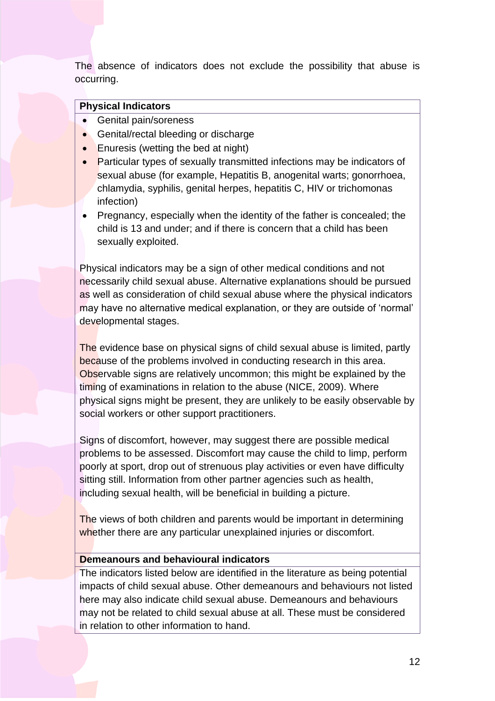The absence of indicators does not exclude the possibility that abuse is occurring.

#### **Physical Indicators**

- Genital pain/soreness
- Genital/rectal bleeding or discharge
- Enuresis (wetting the bed at night)
- Particular types of sexually transmitted infections may be indicators of sexual abuse (for example, Hepatitis B, anogenital warts; gonorrhoea, chlamydia, syphilis, genital herpes, hepatitis C, HIV or trichomonas infection)
- Pregnancy, especially when the identity of the father is concealed; the child is 13 and under; and if there is concern that a child has been sexually exploited.

Physical indicators may be a sign of other medical conditions and not necessarily child sexual abuse. Alternative explanations should be pursued as well as consideration of child sexual abuse where the physical indicators may have no alternative medical explanation, or they are outside of 'normal' developmental stages.

The evidence base on physical signs of child sexual abuse is limited, partly because of the problems involved in conducting research in this area. Observable signs are relatively uncommon; this might be explained by the timing of examinations in relation to the abuse (NICE, 2009). Where physical signs might be present, they are unlikely to be easily observable by social workers or other support practitioners.

Signs of discomfort, however, may suggest there are possible medical problems to be assessed. Discomfort may cause the child to limp, perform poorly at sport, drop out of strenuous play activities or even have difficulty sitting still. Information from other partner agencies such as health, including sexual health, will be beneficial in building a picture.

The views of both children and parents would be important in determining whether there are any particular unexplained injuries or discomfort.

## **Demeanours and behavioural indicators**

The indicators listed below are identified in the literature as being potential impacts of child sexual abuse. Other demeanours and behaviours not listed here may also indicate child sexual abuse. Demeanours and behaviours may not be related to child sexual abuse at all. These must be considered in relation to other information to hand.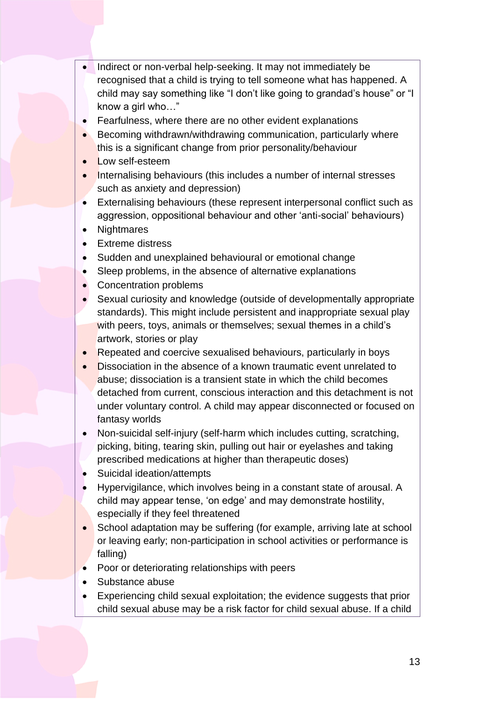- Indirect or non-verbal help-seeking. It may not immediately be recognised that a child is trying to tell someone what has happened. A child may say something like "I don't like going to grandad's house" or "I know a girl who…"
- Fearfulness, where there are no other evident explanations
- Becoming withdrawn/withdrawing communication, particularly where this is a significant change from prior personality/behaviour
- Low self-esteem
- **Internalising behaviours (this includes a number of internal stresses** such as anxiety and depression)
- Externalising behaviours (these represent interpersonal conflict such as aggression, oppositional behaviour and other 'anti-social' behaviours)
- Nightmares
- Extreme distress
- Sudden and unexplained behavioural or emotional change
- Sleep problems, in the absence of alternative explanations
- Concentration problems
- Sexual curiosity and knowledge (outside of developmentally appropriate standards). This might include persistent and inappropriate sexual play with peers, toys, animals or themselves; sexual themes in a child's artwork, stories or play
- **Repeated and coercive sexualised behaviours, particularly in boys**
- Dissociation in the absence of a known traumatic event unrelated to abuse; dissociation is a transient state in which the child becomes detached from current, conscious interaction and this detachment is not under voluntary control. A child may appear disconnected or focused on fantasy worlds
- Non-suicidal self-injury (self-harm which includes cutting, scratching, picking, biting, tearing skin, pulling out hair or eyelashes and taking prescribed medications at higher than therapeutic doses)
- Suicidal ideation/attempts
- Hypervigilance, which involves being in a constant state of arousal. A child may appear tense, 'on edge' and may demonstrate hostility, especially if they feel threatened
- School adaptation may be suffering (for example, arriving late at school or leaving early; non-participation in school activities or performance is falling)
- Poor or deteriorating relationships with peers
- Substance abuse
- Experiencing child sexual exploitation; the evidence suggests that prior child sexual abuse may be a risk factor for child sexual abuse. If a child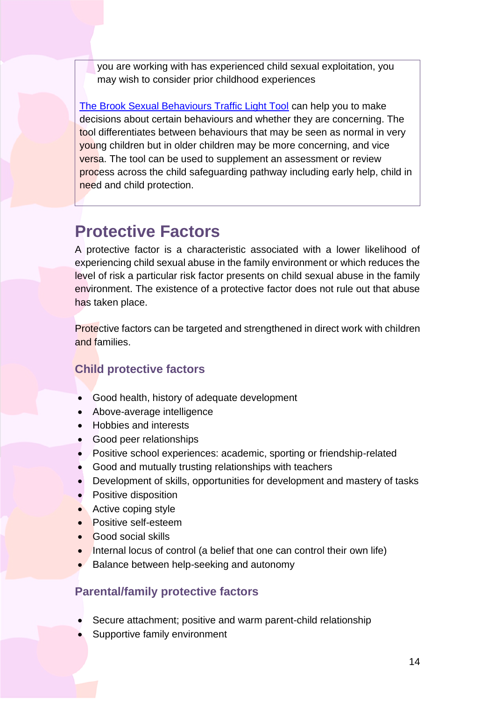you are working with has experienced child sexual exploitation, you may wish to consider prior childhood experiences

[The Brook Sexual Behaviours Traffic Light Tool](https://www.brook.org.uk/training/wider-professional-training/sexual-behaviours-traffic-light-tool/) can help you to make decisions about certain behaviours and whether they are concerning. The tool differentiates between behaviours that may be seen as normal in very young children but in older children may be more concerning, and vice versa. The tool can be used to supplement an assessment or review process across the child safeguarding pathway including early help, child in need and child protection.

## <span id="page-13-0"></span>**Protective Factors**

A protective factor is a characteristic associated with a lower likelihood of experiencing child sexual abuse in the family environment or which reduces the level of risk a particular risk factor presents on child sexual abuse in the family environment. The existence of a protective factor does not rule out that abuse has taken place.

Protective factors can be targeted and strengthened in direct work with children and families.

## **Child protective factors**

- Good health, history of adequate development
- Above-average intelligence
- Hobbies and interests
- Good peer relationships
- Positive school experiences: academic, sporting or friendship-related
- Good and mutually trusting relationships with teachers
- Development of skills, opportunities for development and mastery of tasks
- Positive disposition
- Active coping style
- Positive self-esteem
- Good social skills
- Internal locus of control (a belief that one can control their own life)
- Balance between help-seeking and autonomy

## **Parental/family protective factors**

- Secure attachment; positive and warm parent-child relationship
- Supportive family environment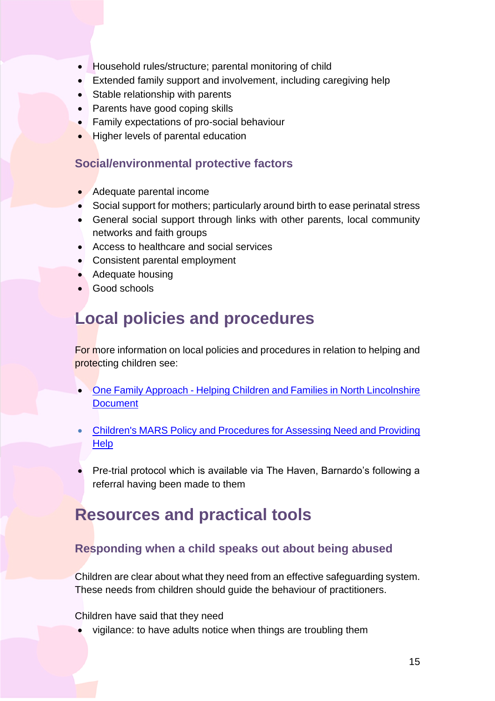- Household rules/structure; parental monitoring of child
- Extended family support and involvement, including caregiving help
- Stable relationship with parents
- Parents have good coping skills
- Family expectations of pro-social behaviour
- Higher levels of parental education

## **Social/environmental protective factors**

- Adequate parental income
- Social support for mothers; particularly around birth to ease perinatal stress
- General social support through links with other parents, local community networks and faith groups
- Access to healthcare and social services
- Consistent parental employment
- Adequate housing
- Good schools

## <span id="page-14-0"></span>**Local policies and procedures**

For more information on local policies and procedures in relation to helping and protecting children see:

- One Family Approach [Helping Children and Families in North Lincolnshire](https://www.northlincscmars.co.uk/policies-procedures-and-guidance/)  **[Document](https://www.northlincscmars.co.uk/policies-procedures-and-guidance/)**
- Children's MARS Policy and Procedures [for Assessing Need and Providing](https://www.northlincscmars.co.uk/policies-procedures-and-guidance/)  **[Help](https://www.northlincscmars.co.uk/policies-procedures-and-guidance/)**
- Pre-trial protocol which is available via The Haven, Barnardo's following a referral having been made to them

## <span id="page-14-1"></span>**Resources and practical tools**

## **Responding when a child speaks out about being abused**

Children are clear about what they need from an effective safeguarding system. These needs from children should guide the behaviour of practitioners.

Children have said that they need

• vigilance: to have adults notice when things are troubling them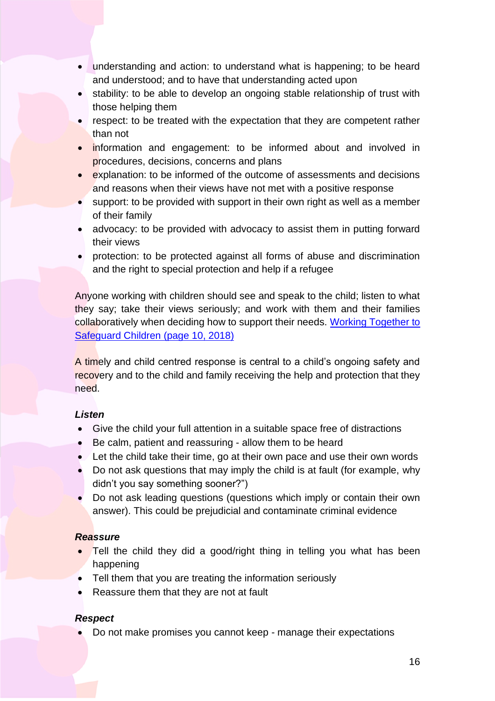- understanding and action: to understand what is happening; to be heard and understood; and to have that understanding acted upon
- stability: to be able to develop an ongoing stable relationship of trust with those helping them
- respect: to be treated with the expectation that they are competent rather than not
- information and engagement: to be informed about and involved in procedures, decisions, concerns and plans
- explanation: to be informed of the outcome of assessments and decisions and reasons when their views have not met with a positive response
- support: to be provided with support in their own right as well as a member of their family
- advocacy: to be provided with advocacy to assist them in putting forward their views
- protection: to be protected against all forms of abuse and discrimination and the right to special protection and help if a refugee

Anyone working with children should see and speak to the child; listen to what they say; take their views seriously; and work with them and their families collaboratively when deciding how to support their needs. Working Together to [Safeguard Children \(page 10, 2018\)](https://www.gov.uk/government/publications/working-together-to-safeguard-children--2)

A timely and child centred response is central to a child's ongoing safety and recovery and to the child and family receiving the help and protection that they need.

## *Listen*

- Give the child your full attention in a suitable space free of distractions
- Be calm, patient and reassuring allow them to be heard
- Let the child take their time, go at their own pace and use their own words
- Do not ask questions that may imply the child is at fault (for example, why didn't you say something sooner?")
- Do not ask leading questions (questions which imply or contain their own answer). This could be prejudicial and contaminate criminal evidence

## *Reassure*

- Tell the child they did a good/right thing in telling you what has been happening
- Tell them that you are treating the information seriously
- Reassure them that they are not at fault

## *Respect*

• Do not make promises you cannot keep - manage their expectations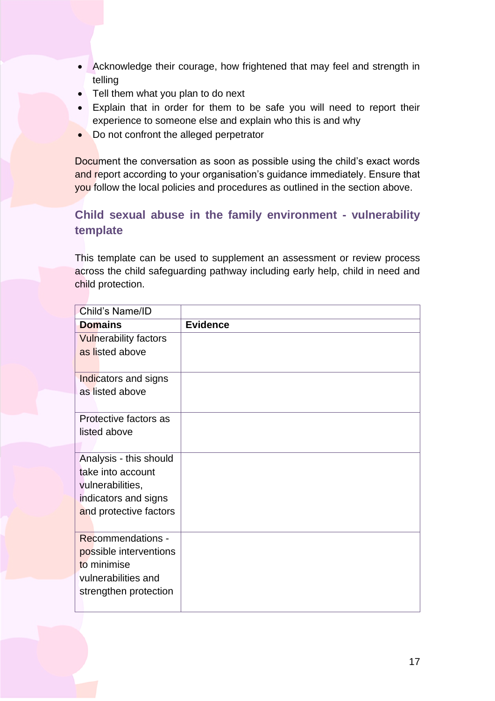- Acknowledge their courage, how frightened that may feel and strength in telling
- Tell them what you plan to do next
- Explain that in order for them to be safe you will need to report their experience to someone else and explain who this is and why
- Do not confront the alleged perpetrator

Document the conversation as soon as possible using the child's exact words and report according to your organisation's guidance immediately. Ensure that you follow the local policies and procedures as outlined in the section above.

## **Child sexual abuse in the family environment - vulnerability template**

This template can be used to supplement an assessment or review process across the child safeguarding pathway including early help, child in need and child protection.

| Child's Name/ID              |                 |
|------------------------------|-----------------|
| <b>Domains</b>               | <b>Evidence</b> |
| <b>Vulnerability factors</b> |                 |
| as listed above              |                 |
|                              |                 |
| Indicators and signs         |                 |
| as listed above              |                 |
|                              |                 |
| Protective factors as        |                 |
| listed above                 |                 |
|                              |                 |
| Analysis - this should       |                 |
| take into account            |                 |
| vulnerabilities,             |                 |
| indicators and signs         |                 |
| and protective factors       |                 |
|                              |                 |
| <b>Recommendations -</b>     |                 |
| possible interventions       |                 |
| to minimise                  |                 |
| vulnerabilities and          |                 |
| strengthen protection        |                 |
|                              |                 |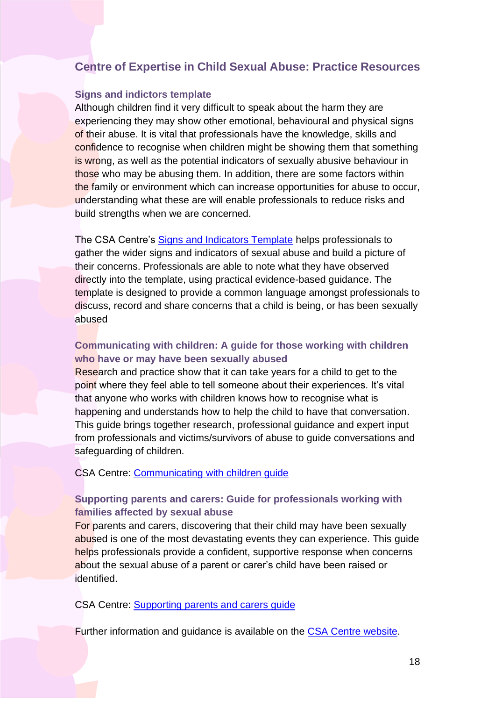## **Centre of Expertise in Child Sexual Abuse: Practice Resources**

#### **Signs and indictors template**

Although children find it very difficult to speak about the harm they are experiencing they may show other emotional, behavioural and physical signs of their abuse. It is vital that professionals have the knowledge, skills and confidence to recognise when children might be showing them that something is wrong, as well as the potential indicators of sexually abusive behaviour in those who may be abusing them. In addition, there are some factors within the family or environment which can increase opportunities for abuse to occur, understanding what these are will enable professionals to reduce risks and build strengths when we are concerned.

The CSA Centre's [Signs and Indicators Template](https://www.csacentre.org.uk/knowledge-in-practice/practice-improvement/signs-indicators-template/) helps professionals to gather the wider signs and indicators of sexual abuse and build a picture of their concerns. Professionals are able to note what they have observed directly into the template, using practical evidence-based guidance. The template is designed to provide a common language amongst professionals to discuss, record and share concerns that a child is being, or has been sexually abused

### **Communicating with children: A guide for those working with children who have or may have been sexually abused**

Research and practice show that it can take years for a child to get to the point where they feel able to tell someone about their experiences. It's vital that anyone who works with children knows how to recognise what is happening and understands how to help the child to have that conversation. This guide brings together research, professional guidance and expert input from professionals and victims/survivors of abuse to guide conversations and safeguarding of children.

CSA Centre: [Communicating with children guide](https://www.csacentre.org.uk/knowledge-in-practice/practice-improvement/communicating-with-children-guide/)

## **Supporting parents and carers: Guide for professionals working with families affected by sexual abuse**

For parents and carers, discovering that their child may have been sexually abused is one of the most devastating events they can experience. This guide helps professionals provide a confident, supportive response when concerns about the sexual abuse of a parent or carer's child have been raised or identified.

CSA Centre: [Supporting parents and carers guide](https://www.csacentre.org.uk/knowledge-in-practice/practice-improvement/supporting-parents-and-carers-guide/)

Further information and guidance is available on the [CSA Centre website.](https://www.csacentre.org.uk/knowledge-in-practice/practice-improvement/signs-indicators-template/)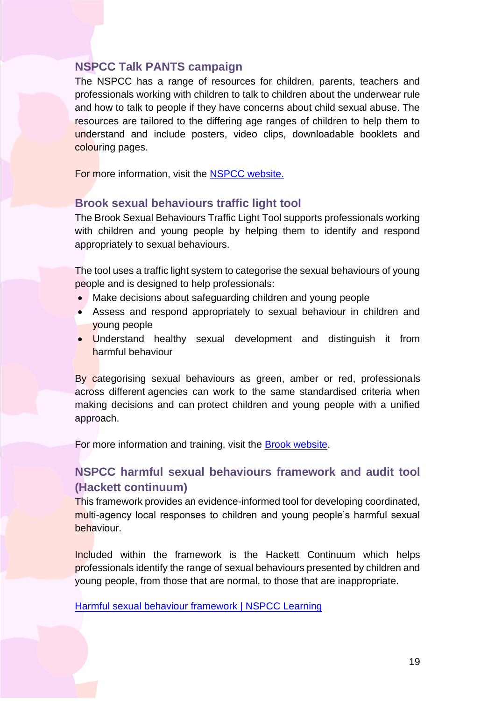## **NSPCC Talk PANTS campaign**

The NSPCC has a range of resources for children, parents, teachers and professionals working with children to talk to children about the underwear rule and how to talk to people if they have concerns about child sexual abuse. The resources are tailored to the differing age ranges of children to help them to understand and include posters, video clips, downloadable booklets and colouring pages.

For more information, visit the [NSPCC website.](https://www.nspcc.org.uk/keeping-children-safe/support-for-parents/pants-underwear-rule/)

## **Brook sexual behaviours traffic light tool**

The Brook Sexual Behaviours Traffic Light Tool supports professionals working with children and young people by helping them to identify and respond appropriately to sexual behaviours.

The tool uses a traffic light system to categorise the sexual behaviours of young people and is designed to help professionals:

- Make decisions about safeguarding children and young people
- Assess and respond appropriately to sexual behaviour in children and young people
- Understand healthy sexual development and distinguish it from harmful behaviour

By categorising sexual behaviours as green, amber or red, professionals across different agencies can work to the same standardised criteria when making decisions and can protect children and young people with a unified approach.

For more information and training, visit the **Brook website**.

## **NSPCC harmful sexual behaviours framework and audit tool (Hackett continuum)**

This framework provides an evidence-informed tool for developing coordinated, multi-agency local responses to children and young people's harmful sexual behaviour.

Included within the framework is the Hackett Continuum which helps professionals identify the range of sexual behaviours presented by children and young people, from those that are normal, to those that are inappropriate.

[Harmful sexual behaviour framework | NSPCC Learning](https://learning.nspcc.org.uk/research-resources/2019/harmful-sexual-behaviour-framework)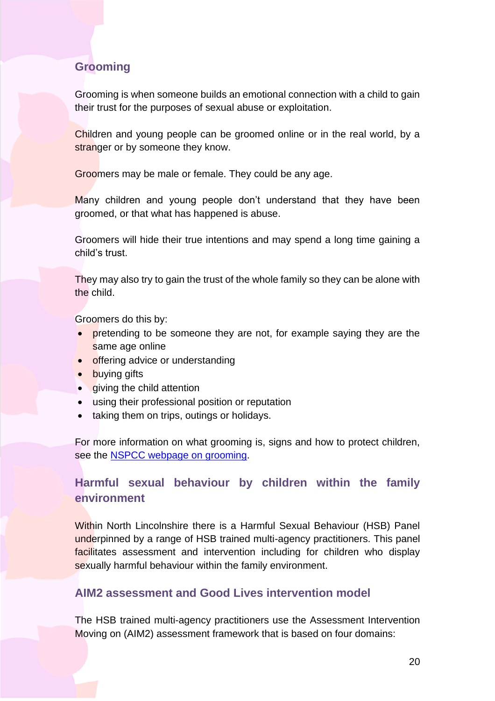## **Grooming**

Grooming is when someone builds an emotional connection with a child to gain their trust for the purposes of sexual abuse or exploitation.

Children and young people can be groomed online or in the real world, by a stranger or by someone they know.

Groomers may be male or female. They could be any age.

Many children and young people don't understand that they have been groomed, or that what has happened is abuse.

Groomers will hide their true intentions and may spend a long time gaining a child's trust.

They may also try to gain the trust of the whole family so they can be alone with the child.

Groomers do this by:

- pretending to be someone they are not, for example saying they are the same age online
- offering advice or understanding
- **buying gifts**
- giving the child attention
- using their professional position or reputation
- taking them on trips, outings or holidays.

For more information on what grooming is, signs and how to protect children, see the [NSPCC webpage on grooming.](https://www.nspcc.org.uk/what-is-child-abuse/types-of-abuse/grooming/)

## **Harmful sexual behaviour by children within the family environment**

Within North Lincolnshire there is a Harmful Sexual Behaviour (HSB) Panel underpinned by a range of HSB trained multi-agency practitioners. This panel facilitates assessment and intervention including for children who display sexually harmful behaviour within the family environment.

## **AIM2 assessment and Good Lives intervention model**

The HSB trained multi-agency practitioners use the Assessment Intervention Moving on (AIM2) assessment framework that is based on four domains: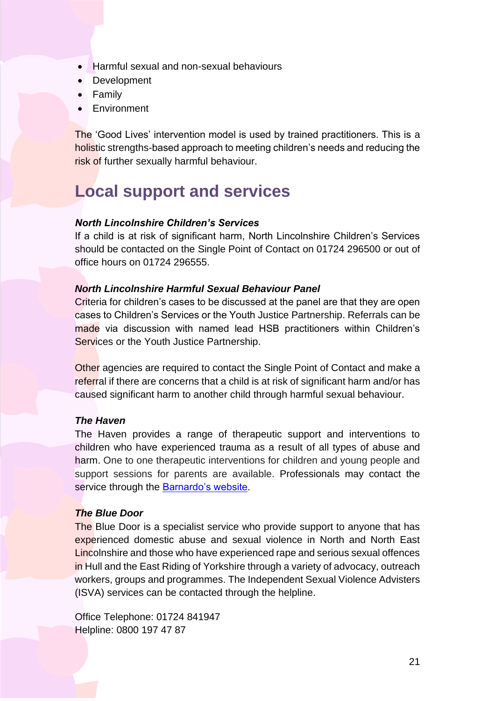- Harmful sexual and non-sexual behaviours
- Development
- Family
- **Environment**

The 'Good Lives' intervention model is used by trained practitioners. This is a holistic strengths-based approach to meeting children's needs and reducing the risk of further sexually harmful behaviour.

## <span id="page-20-0"></span>**Local support and services**

### *North Lincolnshire Children's Services*

If a child is at risk of significant harm, North Lincolnshire Children's Services should be contacted on the Single Point of Contact on 01724 296500 or out of office hours on 01724 296555.

### *North Lincolnshire Harmful Sexual Behaviour Panel*

Criteria for children's cases to be discussed at the panel are that they are open cases to Children's Services or the Youth Justice Partnership. Referrals can be made via discussion with named lead HSB practitioners within Children's Services or the Youth Justice Partnership.

Other agencies are required to contact the Single Point of Contact and make a referral if there are concerns that a child is at risk of significant harm and/or has caused significant harm to another child through harmful sexual behaviour.

#### *The Haven*

The Haven provides a range of therapeutic support and interventions to children who have experienced trauma as a result of all types of abuse and harm. One to one therapeutic interventions for children and young people and support sessions for parents are available. Professionals may contact the service through the [Barnardo's website.](https://www.barnardos.org.uk/what-we-do/services/haven)

#### *The Blue Door*

The Blue Door is a specialist service who provide support to anyone that has experienced domestic abuse and sexual violence in North and North East Lincolnshire and those who have experienced rape and serious sexual offences in Hull and the East Riding of Yorkshire through a variety of advocacy, outreach workers, groups and programmes. The Independent Sexual Violence Advisters (ISVA) services can be contacted through the helpline.

Office Telephone: 01724 841947 Helpline: 0800 197 47 87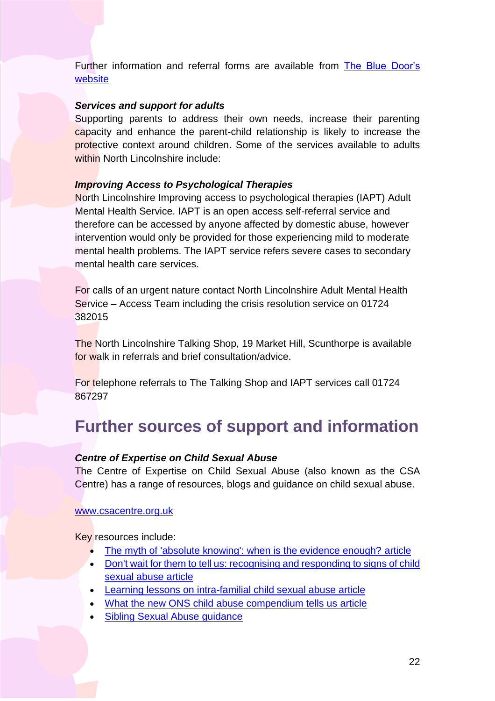Further information and referral forms are available from The Blue Door's [website](https://www.thebluedoor.org/how-do-i-make-a-referral/)

#### *Services and support for adults*

Supporting parents to address their own needs, increase their parenting capacity and enhance the parent-child relationship is likely to increase the protective context around children. Some of the services available to adults within North Lincolnshire include:

## *Improving Access to Psychological Therapies*

North Lincolnshire Improving access to psychological therapies (IAPT) Adult Mental Health Service. IAPT is an open access self-referral service and therefore can be accessed by anyone affected by domestic abuse, however intervention would only be provided for those experiencing mild to moderate mental health problems. The IAPT service refers severe cases to secondary mental health care services.

For calls of an urgent nature contact North Lincolnshire Adult Mental Health Service – Access Team including the crisis resolution service on 01724 382015

The North Lincolnshire Talking Shop, 19 Market Hill, Scunthorpe is available for walk in referrals and brief consultation/advice.

For telephone referrals to The Talking Shop and IAPT services call 01724 867297

## <span id="page-21-0"></span>**Further sources of support and information**

## *Centre of Expertise on Child Sexual Abuse*

The Centre of Expertise on Child Sexual Abuse (also known as the CSA Centre) has a range of resources, blogs and guidance on child sexual abuse.

#### [www.csacentre.org.uk](http://www.csacentre.org.uk/)

Key resources include:

- [The myth of 'absolute knowing': when is the evidence enough?](https://www.csacentre.org.uk/resources/blog/the-myth-of-absolute-knowing/) article
- Don't wait for them to [tell us: recognising and responding to signs of child](https://www.csacentre.org.uk/resources/blog/disclosures-csa/)  [sexual abuse](https://www.csacentre.org.uk/resources/blog/disclosures-csa/) article
- [Learning lessons on intra-familial child sexual abuse](https://www.csacentre.org.uk/resources/blog/learning-lessons-on-intra-familial-child-sexual-abuse/) article
- [What the new ONS child abuse compendium tells us article](https://www.csacentre.org.uk/resources/blog/what-the-new-ons-child-abuse-compendium-tells-us/)
- [Sibling Sexual Abuse](https://www.csacentre.org.uk/knowledge-in-practice/practice-improvement/sibling-sexual-abuse/) guidance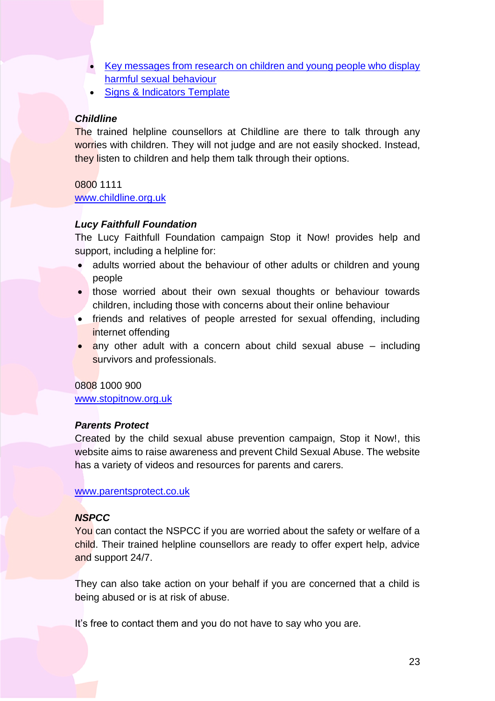- [Key messages from research on children and young people who display](https://www.csacentre.org.uk/resources/key-messages/harmful-sexual-behaviour/)  [harmful sexual behaviour](https://www.csacentre.org.uk/resources/key-messages/harmful-sexual-behaviour/)
- [Signs & Indicators Template](https://www.csacentre.org.uk/knowledge-in-practice/practice-improvement/signs-indicators-template/)

#### *Childline*

The trained helpline counsellors at Childline are there to talk through any worries with children. They will not judge and are not easily shocked. Instead, they listen to children and help them talk through their options.

0800 1111

[www.childline.org.uk](http://www.childline.org.uk/)

## *Lucy Faithfull Foundation*

The Lucy Faithfull Foundation campaign Stop it Now! provides help and support, including a helpline for:

- adults worried about the behaviour of other adults or children and young people
- those worried about their own sexual thoughts or behaviour towards children, including those with concerns about their online behaviour
- friends and relatives of people arrested for sexual offending, including internet offending
- any other adult with a concern about child sexual abuse including survivors and professionals.

0808 1000 900

[www.stopitnow.org.uk](http://www.stopitnow.org.uk/)

## *Parents Protect*

Created by the child sexual abuse prevention campaign, Stop it Now!, this website aims to raise awareness and prevent Child Sexual Abuse. The website has a variety of videos and resources for parents and carers.

[www.parentsprotect.co.uk](http://www.parentsprotect.co.uk/)

## *NSPCC*

You can contact the NSPCC if you are worried about the safety or welfare of a child. Their trained helpline counsellors are ready to offer expert help, advice and support 24/7.

They can also take action on your behalf if you are concerned that a child is being abused or is at risk of abuse.

It's free to contact them and you do not have to say who you are.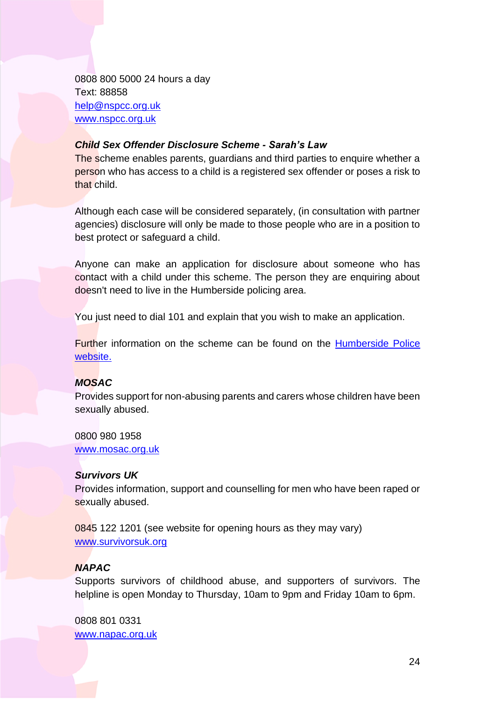0808 800 5000 24 hours a day Text: 88858 [help@nspcc.org.uk](mailto:help@nspcc.org.uk) [www.nspcc.org.uk](http://www.nspcc.org.uk/)

#### *Child Sex Offender Disclosure Scheme - Sarah's Law*

The scheme enables parents, guardians and third parties to enquire whether a person who has access to a child is a registered sex offender or poses a risk to that child.

Although each case will be considered separately, (in consultation with partner agencies) disclosure will only be made to those people who are in a position to best protect or safeguard a child.

Anyone can make an application for disclosure about someone who has contact with a child under this scheme. The person they are enquiring about doesn't need to live in the Humberside policing area.

You just need to dial 101 and explain that you wish to make an application.

Further information on the scheme can be found on the [Humberside Police](https://www.humberside.police.uk/child-sex-offender-disclosure-sarahs-law)  [website.](https://www.humberside.police.uk/child-sex-offender-disclosure-sarahs-law)

## *MOSAC*

Provides support for non-abusing parents and carers whose children have been sexually abused.

0800 980 1958 [www.mosac.org.uk](file://///brigg/LSCB/2016%202017%20LSCB/Procedures/MARS%20Procedures/Toolkits/www.mosac.org.uk)

## *Survivors UK*

Provides information, support and counselling for men who have been raped or sexually abused.

0845 122 1201 (see website for opening hours as they may vary) [www.survivorsuk.org](http://www.survivorsuk.org/)

## *NAPAC*

Supports survivors of childhood abuse, and supporters of survivors. The helpline is open Monday to Thursday, 10am to 9pm and Friday 10am to 6pm.

0808 801 0331 [www.napac.org.uk](https://napac.org.uk/)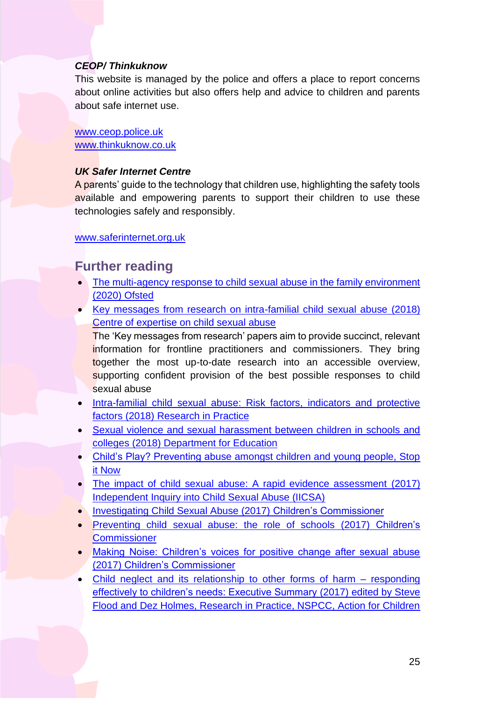### *CEOP/ Thinkuknow*

This website is managed by the police and offers a place to report concerns about online activities but also offers help and advice to children and parents about safe internet use.

[www.ceop.police.uk](http://www.ceop.police.uk/) [www.thinkuknow.co.uk](file://///brigg/LSCB/2016%202017%20LSCB/Procedures/MARS%20Procedures/Toolkits/www.thinkuknow.co.uk)

### *UK Safer Internet Centre*

A parents' guide to the technology that children use, highlighting the safety tools available and empowering parents to support their children to use these technologies safely and responsibly.

[www.saferinternet.org.uk](https://www.saferinternet.org.uk/advice-centre/parents-and-carers/parents-guide-technology)

## **Further reading**

- The multi-agency response to child sexual abuse in the family environment [\(2020\) Ofsted](https://www.gov.uk/government/publications/the-multi-agency-response-to-child-sexual-abuse-in-the-family-environment)
- [Key messages from research on intra-familial child sexual abuse](https://www.csacentre.org.uk/resources/key-messages/intra-familial-csa/) (2018) [Centre of expertise on child sexual abuse](https://www.csacentre.org.uk/resources/key-messages/intra-familial-csa/)

The 'Key messages from research' papers aim to provide succinct, relevant information for frontline practitioners and commissioners. They bring together the most up-to-date research into an accessible overview, supporting confident provision of the best possible responses to child sexual abuse

- [Intra-familial child sexual abuse: Risk factors, indicators and protective](https://www.researchinpractice.org.uk/children/publications/2018/april/intra-familial-child-sexual-abuse-risk-factors-indicators-and-protective-factors-practice-tool-2018/)  factors (2018) [Research in Practice](https://www.researchinpractice.org.uk/children/publications/2018/april/intra-familial-child-sexual-abuse-risk-factors-indicators-and-protective-factors-practice-tool-2018/)
- [Sexual violence and sexual harassment between children in schools and](https://www.gov.uk/government/publications/sexual-violence-and-sexual-harassment-between-children-in-schools-and-colleges)  colleges (2018) [Department for Education](https://www.gov.uk/government/publications/sexual-violence-and-sexual-harassment-between-children-in-schools-and-colleges)
- [Child's Play? Preventing abuse amongst children and young people, Stop](https://www.stopitnow.org.uk/wp-content/uploads/2020/01/stop_booklets_childs_play_preventing_abuse_among_children_and_young_people01_14.pdf)  [it Now](https://www.stopitnow.org.uk/wp-content/uploads/2020/01/stop_booklets_childs_play_preventing_abuse_among_children_and_young_people01_14.pdf)
- [The impact of child sexual abuse: A rapid evidence assessment](https://www.iicsa.org.uk/publications/research/impacts-csa) (2017) [Independent Inquiry into Child Sexual Abuse \(IICSA\)](https://www.iicsa.org.uk/publications/research/impacts-csa)
- [Investigating Child Sexual Abuse \(2017\)](https://www.childrenscommissioner.gov.uk/wp-content/uploads/2017/06/Investigating-Child-Sexual-Abuse-CCO-April-2017-1.2-1.pdf) Children's Commissioner
- [Preventing child sexual abuse: the role of schools](https://www.childrenscommissioner.gov.uk/report/preventing-child-sexual-abuse-2/) (2017) Children's **[Commissioner](https://www.childrenscommissioner.gov.uk/report/preventing-child-sexual-abuse-2/)**
- [Making Noise: Children's voices for positive change after sexual abuse](https://www.beds.ac.uk/ic/recently-completed-projects/making-noise) (2017) [Children's Commissioner](https://www.beds.ac.uk/ic/recently-completed-projects/making-noise)
- Child neglect and [its relationship to other forms of harm –](https://www.researchinpractice.org.uk/children/publications/2016/november/child-neglect-and-its-relationship-to-other-forms-of-harm-responding-effectively-to-children-s-needs-evidence-scopes/) responding [effectively to children's needs: Executive Summary](https://www.researchinpractice.org.uk/children/publications/2016/november/child-neglect-and-its-relationship-to-other-forms-of-harm-responding-effectively-to-children-s-needs-evidence-scopes/) (2017) edited by Steve [Flood and Dez Holmes, Research in Practice, NSPCC, Action for Children](https://www.researchinpractice.org.uk/children/publications/2016/november/child-neglect-and-its-relationship-to-other-forms-of-harm-responding-effectively-to-children-s-needs-evidence-scopes/)